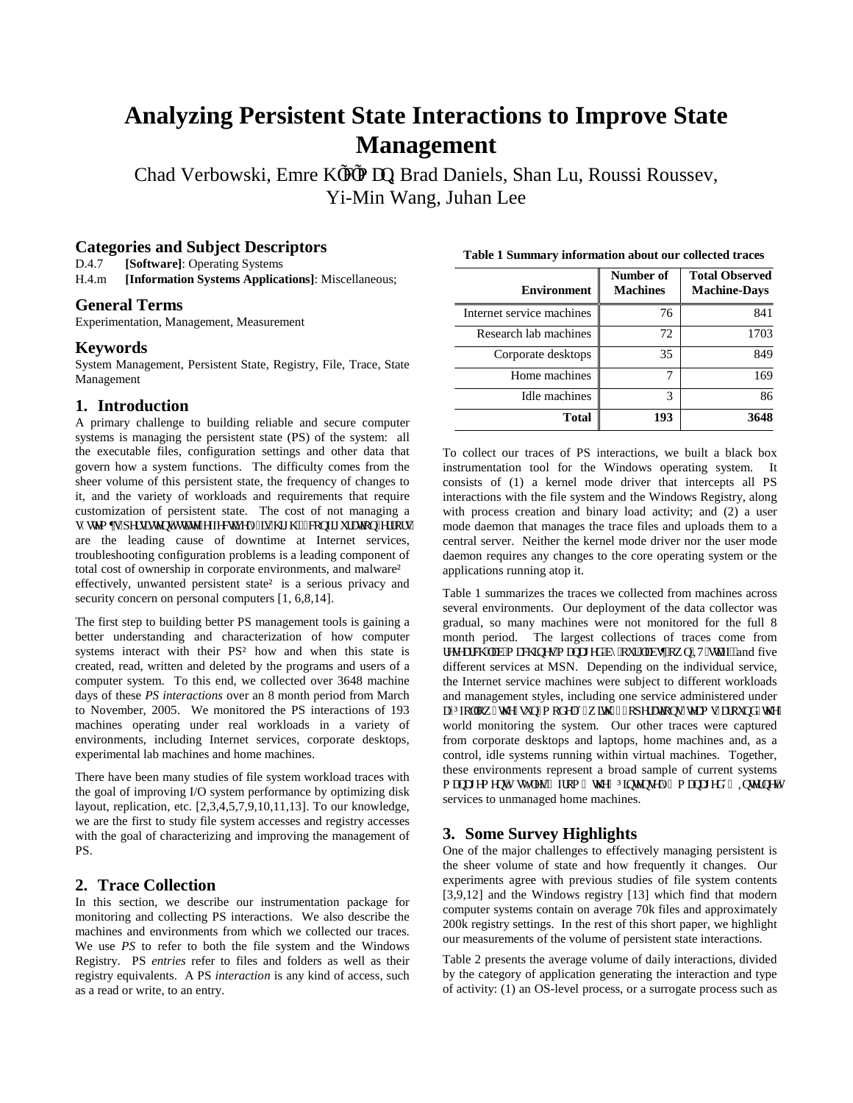# **Analyzing Persistent State Interactions to Improve State Management**

Chad Verbowski, Emre K, e, o cp Brad Daniels, Shan Lu, Roussi Roussev, Yi-Min Wang, Juhan Lee

## **Categories and Subject Descriptors**

D.4.7 **[Software]**: Operating Systems

H.4.m **[Information Systems Applications]**: Miscellaneous;

## **General Terms**

Experimentation, Management, Measurement

#### **Keywords**

System Management, Persistent State, Registry, File, Trace, State Management

## **1. Introduction**

A primary challenge to building reliable and secure computer systems is managing the persistent state (PS) of the system: all the executable files, configuration settings and other data that govern how a system functions. The difficulty comes from the sheer volume of this persistent state, the frequency of changes to it, and the variety of workloads and requirements that require customization of persistent state. The cost of not managing a u{uvgo gu"rgtukuvgpv"uvcvg"ghbgevkxgn{"ku"jkij<""eqphkiwtcvkqp"gttqtu" are the leading cause of downtime at Internet services, troubleshooting configuration problems is a leading component of total cost of ownership in corporate environments, and malware  $\hat{o}$ effectively, unwanted persistent state  $\hat{o}$  is a serious privacy and security concern on personal computers  $[1, 6, 8, 14]$ .

The first step to building better PS management tools is gaining a better understanding and characterization of how computer systems interact with their PS  $\hat{o}$  how and when this state is created, read, written and deleted by the programs and users of a computer system. To this end, we collected over 3648 machine days of these *PS interactions* over an 8 month period from March to November, 2005. We monitored the PS interactions of 193 machines operating under real workloads in a variety of environments, including Internet services, corporate desktops, experimental lab machines and home machines.

There have been many studies of file system workload traces with the goal of improving I/O system performance by optimizing disk layout, replication, etc. [2,3,4,5,7,9,10,11,13]. To our knowledge, we are the first to study file system accesses and registry accesses with the goal of characterizing and improving the management of PS.

#### **2. Trace Collection**

In this section, we describe our instrumentation package for monitoring and collecting PS interactions. We also describe the machines and environments from which we collected our traces. We use *PS* to refer to both the file system and the Windows Registry. PS *entries* refer to files and folders as well as their registry equivalents. A PS *interaction* is any kind of access, such as a read or write, to an entry.

| <b>Environment</b>        | Number of<br><b>Machines</b> | <b>Total Observed</b><br><b>Machine-Days</b> |
|---------------------------|------------------------------|----------------------------------------------|
| Internet service machines | 76                           | 841                                          |
| Research lab machines     | 72                           | 1703                                         |
| Corporate desktops        | 35                           | 849                                          |
| Home machines             | 7                            | 169                                          |
| Idle machines             | 3                            | 86                                           |
| <b>Total</b>              | 193                          | 3648                                         |

**Table 1 Summary information about our collected traces**

To collect our traces of PS interactions, we built a black box instrumentation tool for the Windows operating system. It consists of (1) a kernel mode driver that intercepts all PS interactions with the file system and the Windows Registry, along with process creation and binary load activity; and (2) a user mode daemon that manages the trace files and uploads them to a central server. Neither the kernel mode driver nor the user mode daemon requires any changes to the core operating system or the applications running atop it.

Table 1 summarizes the traces we collected from machines across several environments. Our deployment of the data collector was gradual, so many machines were not monitored for the full 8 month period. The largest collections of traces come from  $t$ gugctej 'nd'o cej kogu'o cpci gf 'd{'qwt'nduø'qy p $W$ 'uvch $t$ and five different services at MSN. Depending on the individual service, the Internet service machines were subject to different workloads and management styles, including one service administered under c"õhqmqy "vjg"uwp"o qfgnö"y kvj "5"qrgtcvkqpu"vgco u"ctqwpf"vjg" world monitoring the system. Our other traces were captured from corporate desktops and laptops, home machines and, as a control, idle systems running within virtual machines. Together, these environments represent a broad sample of current systems o cpcigo gpv' uv{rgu." htqo " vjg" õkpvgpugn{" o cpcigfö" Kpvgtpgv' services to unmanaged home machines.

## **3. Some Survey Highlights**

One of the major challenges to effectively managing persistent is the sheer volume of state and how frequently it changes. Our experiments agree with previous studies of file system contents [3,9,12] and the Windows registry [13] which find that modern computer systems contain on average 70k files and approximately 200k registry settings. In the rest of this short paper, we highlight our measurements of the volume of persistent state interactions.

Table 2 presents the average volume of daily interactions, divided by the category of application generating the interaction and type of activity: (1) an OS-level process, or a surrogate process such as